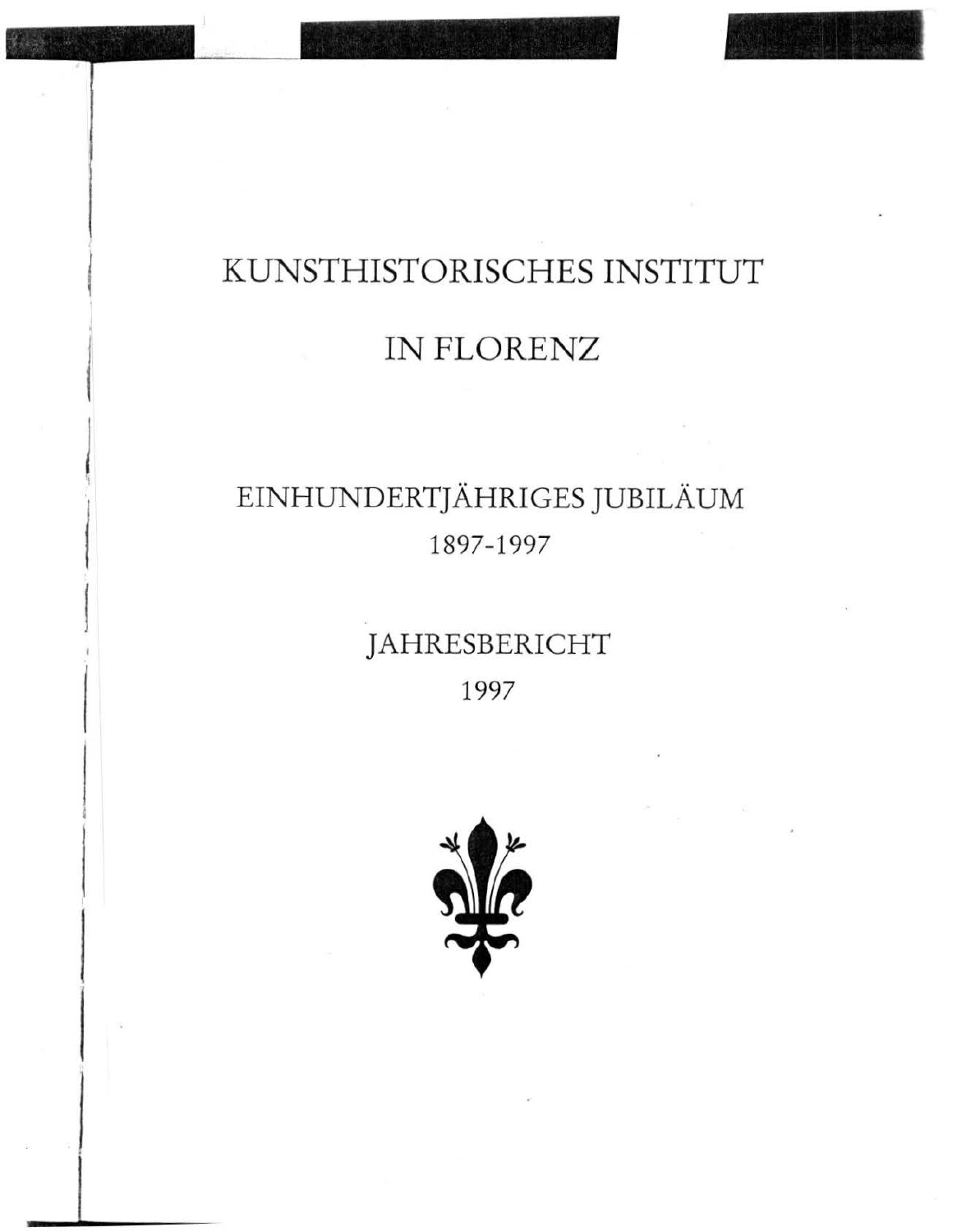# KUNSTHISTORISCHES INSTITUT

### IN FLORENZ

# EINHUNDERTJÄHRIGES JUBILÄUM 1897-1997

## JAHRESBERICHT 1997

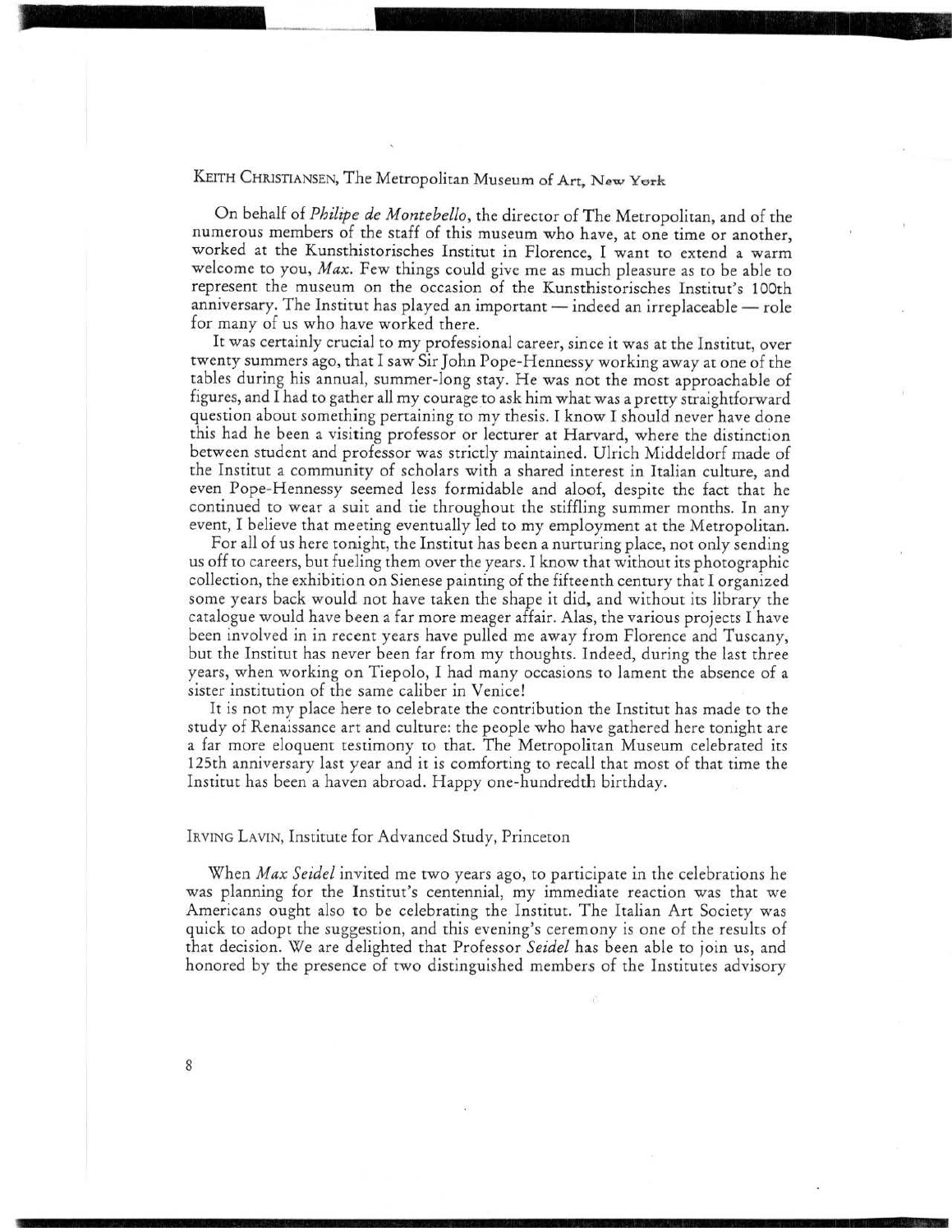#### KEITH CHRISTIANSEN, The Metropolitan Museum of Art. *New* York

------

On behalf of *Philipe de Montebello,* the director of The Metropolitan, and of the numerous members of the staff of this museum who have, at one time or another, worked at the Kunsthistorisches Institut in Florence, I want to extend a warm welcome to you, *Max.* Few things could give me as much pleasure as to be able to represent the museum on the occasion of the Kunsthistorisches Institut's 100th anniversary. The Institut has played an important - indeed an irreplaceable - role for many of us who have worked there.

It was certainly crucial to my professional career, since it was at the Institut, over twenty summers ago, that I saw Sir John Pope-Hennessy working away at one of the tables during his annual, summer-long stay. He was not the most approachable of figures, and I had to gather all my courage to ask him what was a pretty straightforward question about something pertaining to my thesis. I know I should never have done this had he been a visiting professor or lecturer at Harvard, where the distinction between student and professor was strictly maintained. Ulrich Middeldorf made of the Institut a community of scholars with a shared interest in Italian culture, and even Pope-Hennessy seemed less formidable and aloof, despite the fact that he continued to wear a suit and tie throughout the stiffling summer months. In any event, I believe that meeting eventually led to my employment at the Metropolitan.

For all of us here tonight, the Institut has been a nurturing place, not only sending us off to careers, but fueling them over the years. I know that without its photographic collection, the exhibition on Sienese painting of the fifteenth century that I organized some years back would not have taken the shape it did, and without its library the catalogue would have been a far more meager affair. Alas, the various projects I have been involved in in recent years have pulled me away from Florence and Tuscany, but the Institut has never been far from my thoughts. Indeed, during the last three years, when working on Tiepolo, I had many occasions to lament the absence of a sister institution of the same caliber in Venice!

It is not my place here to celebrate the contribution the Institut has made to the study of Renaissance art and culture: the people who have gathered here tonight are a far more eloquent testimony to that. The Metropolitan Museum celebrated its 125th anniversary last year and it is comforting to recall that most of that time the Institut has been a haven abroad. Happy one-hundredth birthday.

#### IRVING LAVIN, Institute for Advanced Study, Princeton

When *Max Seidel* invited me two years ago, to participate in the celebrations he was planning for the lnstitut's centennial, my immediate reaction was that we Americans ought also to be celebrating the Institut. The Italian Art Society was quick to adopt the suggestion, and this evening's ceremony is one of the results of that decision. We are delighted that Professor *Seidel* has been able to join us, and honored by the presence of two distinguished members of the Institutes advisory